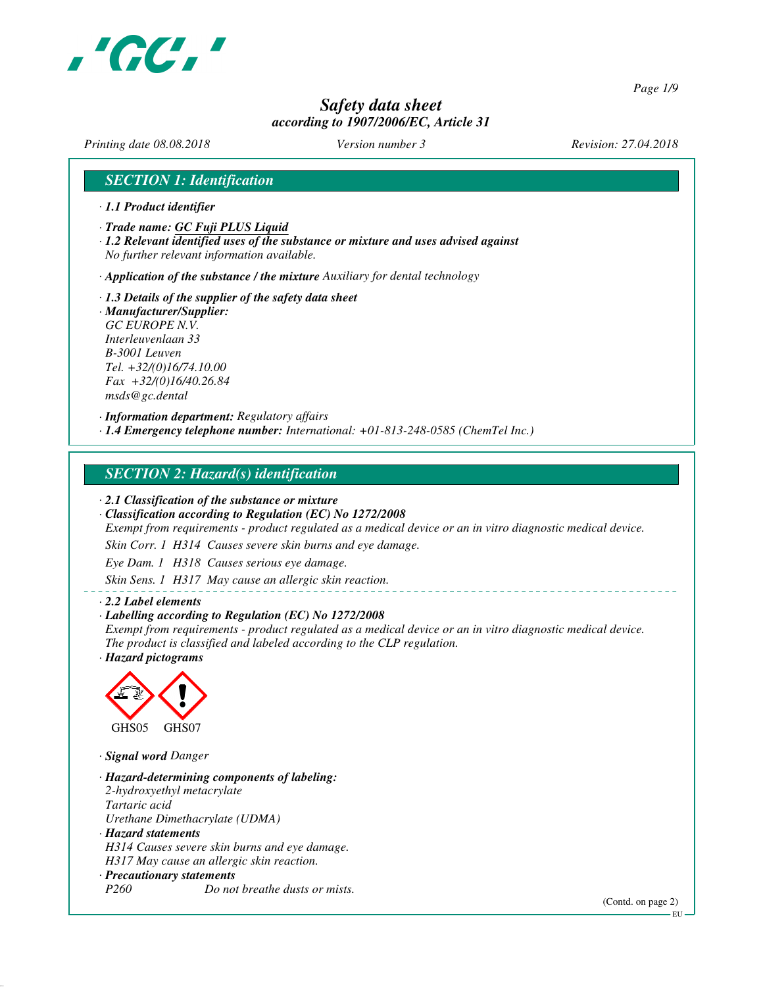

*Page 1/9*

# *Safety data sheet according to 1907/2006/EC, Article 31*

*Printing date 08.08.2018 Version number 3 Revision: 27.04.2018*

## *SECTION 1: Identification*

- *· 1.1 Product identifier*
- *· Trade name: GC Fuji PLUS Liquid*
- *· 1.2 Relevant identified uses of the substance or mixture and uses advised against No further relevant information available.*

*· Application of the substance / the mixture Auxiliary for dental technology*

*· 1.3 Details of the supplier of the safety data sheet · Manufacturer/Supplier: GC EUROPE N.V. Interleuvenlaan 33 B-3001 Leuven Tel. +32/(0)16/74.10.00 Fax +32/(0)16/40.26.84 msds@gc.dental*

*· Information department: Regulatory affairs · 1.4 Emergency telephone number: International: +01-813-248-0585 (ChemTel Inc.)*

## *SECTION 2: Hazard(s) identification*

*· 2.1 Classification of the substance or mixture*

*· Classification according to Regulation (EC) No 1272/2008*

*Exempt from requirements - product regulated as a medical device or an in vitro diagnostic medical device.*

*Skin Corr. 1 H314 Causes severe skin burns and eye damage.*

*Eye Dam. 1 H318 Causes serious eye damage.*

*Skin Sens. 1 H317 May cause an allergic skin reaction.*

#### *· 2.2 Label elements*

#### *· Labelling according to Regulation (EC) No 1272/2008*

*Exempt from requirements - product regulated as a medical device or an in vitro diagnostic medical device. The product is classified and labeled according to the CLP regulation.*

*· Hazard pictograms*



*· Signal word Danger*

*· Hazard-determining components of labeling: 2-hydroxyethyl metacrylate Tartaric acid Urethane Dimethacrylate (UDMA) · Hazard statements H314 Causes severe skin burns and eye damage. H317 May cause an allergic skin reaction. · Precautionary statements P260 Do not breathe dusts or mists.*

(Contd. on page 2)

EU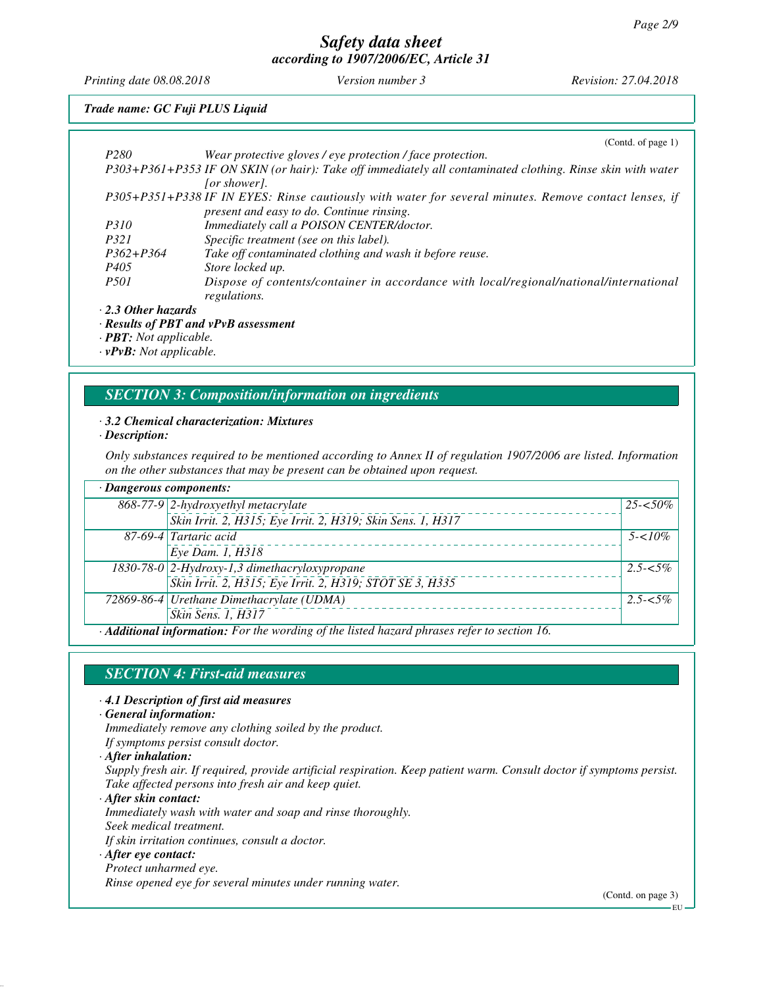*Printing date 08.08.2018 Version number 3 Revision: 27.04.2018*

## *Trade name: GC Fuji PLUS Liquid*

|                           | (Contd. of page $1$ )                                                                                      |
|---------------------------|------------------------------------------------------------------------------------------------------------|
| P <sub>280</sub>          | Wear protective gloves / eye protection / face protection.                                                 |
|                           | P303+P361+P353 IF ON SKIN (or hair): Take off immediately all contaminated clothing. Rinse skin with water |
|                           | <i>for showerl.</i>                                                                                        |
|                           | P305+P351+P338 IF IN EYES: Rinse cautiously with water for several minutes. Remove contact lenses, if      |
|                           | present and easy to do. Continue rinsing.                                                                  |
| <i>P310</i>               | Immediately call a POISON CENTER/doctor.                                                                   |
| P321                      | Specific treatment (see on this label).                                                                    |
| $P362 + P364$             | Take off contaminated clothing and wash it before reuse.                                                   |
| P405                      | Store locked up.                                                                                           |
| <i>P501</i>               | Dispose of contents/container in accordance with local/regional/national/international                     |
|                           | regulations.                                                                                               |
| $\cdot$ 2.3 Other hazards |                                                                                                            |

*· Results of PBT and vPvB assessment*

*· PBT: Not applicable.*

*· vPvB: Not applicable.*

## *SECTION 3: Composition/information on ingredients*

#### *· 3.2 Chemical characterization: Mixtures*

#### *· Description:*

*Only substances required to be mentioned according to Annex II of regulation 1907/2006 are listed. Information on the other substances that may be present can be obtained upon request.*

| · Dangerous components: |                                                                                           |             |
|-------------------------|-------------------------------------------------------------------------------------------|-------------|
|                         | 868-77-9 2-hydroxyethyl metacrylate                                                       | $25 - 50\%$ |
|                         | Skin Irrit. 2, H315; Eye Irrit. 2, H319; Skin Sens. 1, H317                               |             |
|                         | 87-69-4 Tartaric acid                                                                     | $5 - 10\%$  |
|                         | Eye Dam. 1, H318                                                                          |             |
|                         | 1830-78-0 2-Hydroxy-1,3 dimethacryloxypropane                                             | $2.5 - 5\%$ |
|                         | Skin Irrit. 2, H315; Eye Irrit. 2, H319; STOT SE 3, H335                                  |             |
|                         | 72869-86-4 Urethane Dimethacrylate (UDMA)                                                 | $2.5 - 5\%$ |
|                         | Skin Sens. 1, H317                                                                        |             |
|                         | A different information. For the wording of the listed becaud physeses weby to section 16 |             |

*· Additional information: For the wording of the listed hazard phrases refer to section 16.*

# *SECTION 4: First-aid measures*

#### *· 4.1 Description of first aid measures*

*· General information:*

*Immediately remove any clothing soiled by the product.*

*If symptoms persist consult doctor.*

*· After inhalation:*

*Supply fresh air. If required, provide artificial respiration. Keep patient warm. Consult doctor if symptoms persist. Take affected persons into fresh air and keep quiet.*

*· After skin contact: Immediately wash with water and soap and rinse thoroughly. Seek medical treatment. If skin irritation continues, consult a doctor.*

#### *· After eye contact:*

#### *Protect unharmed eye.*

*Rinse opened eye for several minutes under running water.*

(Contd. on page 3)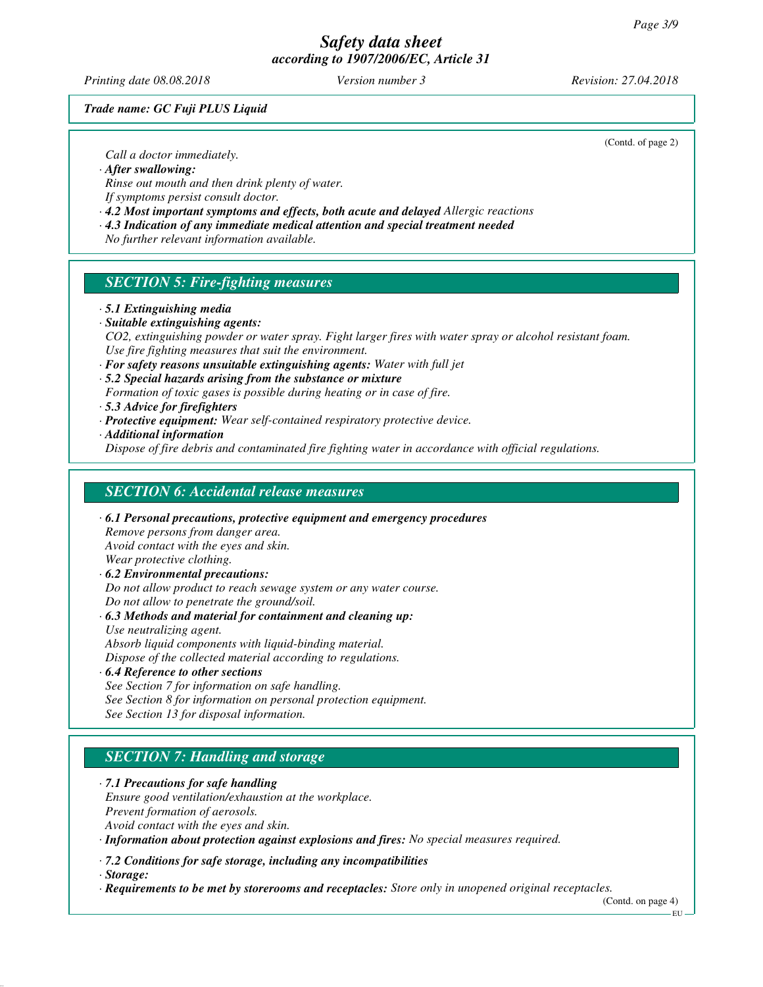*Printing date 08.08.2018 Version number 3 Revision: 27.04.2018*

*Trade name: GC Fuji PLUS Liquid*

(Contd. of page 2)

*Call a doctor immediately.*

*· After swallowing:*

*Rinse out mouth and then drink plenty of water. If symptoms persist consult doctor.*

*· 4.2 Most important symptoms and effects, both acute and delayed Allergic reactions*

*· 4.3 Indication of any immediate medical attention and special treatment needed*

*No further relevant information available.*

# *SECTION 5: Fire-fighting measures*

#### *· 5.1 Extinguishing media*

*· Suitable extinguishing agents:*

*CO2, extinguishing powder or water spray. Fight larger fires with water spray or alcohol resistant foam. Use fire fighting measures that suit the environment.*

- *· For safety reasons unsuitable extinguishing agents: Water with full jet*
- *· 5.2 Special hazards arising from the substance or mixture*
- *Formation of toxic gases is possible during heating or in case of fire.*
- *· 5.3 Advice for firefighters*
- *· Protective equipment: Wear self-contained respiratory protective device.*

*· Additional information*

*Dispose of fire debris and contaminated fire fighting water in accordance with official regulations.*

## *SECTION 6: Accidental release measures*

*· 6.1 Personal precautions, protective equipment and emergency procedures Remove persons from danger area. Avoid contact with the eyes and skin. Wear protective clothing. · 6.2 Environmental precautions: Do not allow product to reach sewage system or any water course. Do not allow to penetrate the ground/soil.*

*· 6.3 Methods and material for containment and cleaning up:*

*Use neutralizing agent. Absorb liquid components with liquid-binding material.*

*Dispose of the collected material according to regulations.*

#### *· 6.4 Reference to other sections*

*See Section 7 for information on safe handling. See Section 8 for information on personal protection equipment. See Section 13 for disposal information.*

# *SECTION 7: Handling and storage*

*· 7.1 Precautions for safe handling Ensure good ventilation/exhaustion at the workplace. Prevent formation of aerosols. Avoid contact with the eyes and skin.*

*· Information about protection against explosions and fires: No special measures required.*

*· 7.2 Conditions for safe storage, including any incompatibilities*

*· Storage:*

*· Requirements to be met by storerooms and receptacles: Store only in unopened original receptacles.*

(Contd. on page 4)

EU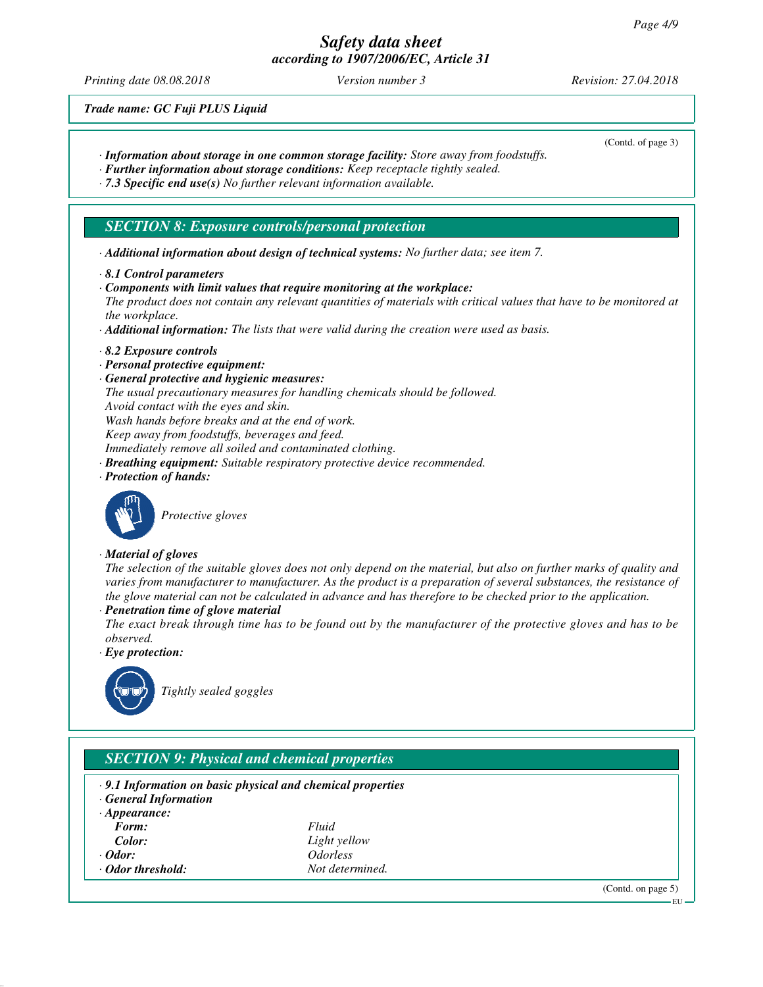*Printing date 08.08.2018 Version number 3 Revision: 27.04.2018*

(Contd. of page 3)

*Trade name: GC Fuji PLUS Liquid*

- *· Information about storage in one common storage facility: Store away from foodstuffs.*
- *· Further information about storage conditions: Keep receptacle tightly sealed.*
- *· 7.3 Specific end use(s) No further relevant information available.*

## *SECTION 8: Exposure controls/personal protection*

- *· Additional information about design of technical systems: No further data; see item 7.*
- *· 8.1 Control parameters*
- *· Components with limit values that require monitoring at the workplace:*

*The product does not contain any relevant quantities of materials with critical values that have to be monitored at the workplace.*

- *· Additional information: The lists that were valid during the creation were used as basis.*
- *· 8.2 Exposure controls*
- *· Personal protective equipment:*
- *· General protective and hygienic measures:*
- *The usual precautionary measures for handling chemicals should be followed.*
- *Avoid contact with the eyes and skin.*
- *Wash hands before breaks and at the end of work.*
- *Keep away from foodstuffs, beverages and feed.*
- *Immediately remove all soiled and contaminated clothing.*
- *· Breathing equipment: Suitable respiratory protective device recommended.*
- *· Protection of hands:*



*Protective gloves*

#### *· Material of gloves*

*The selection of the suitable gloves does not only depend on the material, but also on further marks of quality and varies from manufacturer to manufacturer. As the product is a preparation of several substances, the resistance of the glove material can not be calculated in advance and has therefore to be checked prior to the application.*

*· Penetration time of glove material*

*The exact break through time has to be found out by the manufacturer of the protective gloves and has to be observed.*

*· Eye protection:*



*Tightly sealed goggles*

# *SECTION 9: Physical and chemical properties*

- *· 9.1 Information on basic physical and chemical properties*
- *· General Information*
- *· Appearance: Form: Fluid*
- 
- 
- *Color: Light yellow · Odor: Odorless*
- *<u>Odor</u> threshold: <i>Not determined.*

(Contd. on page 5)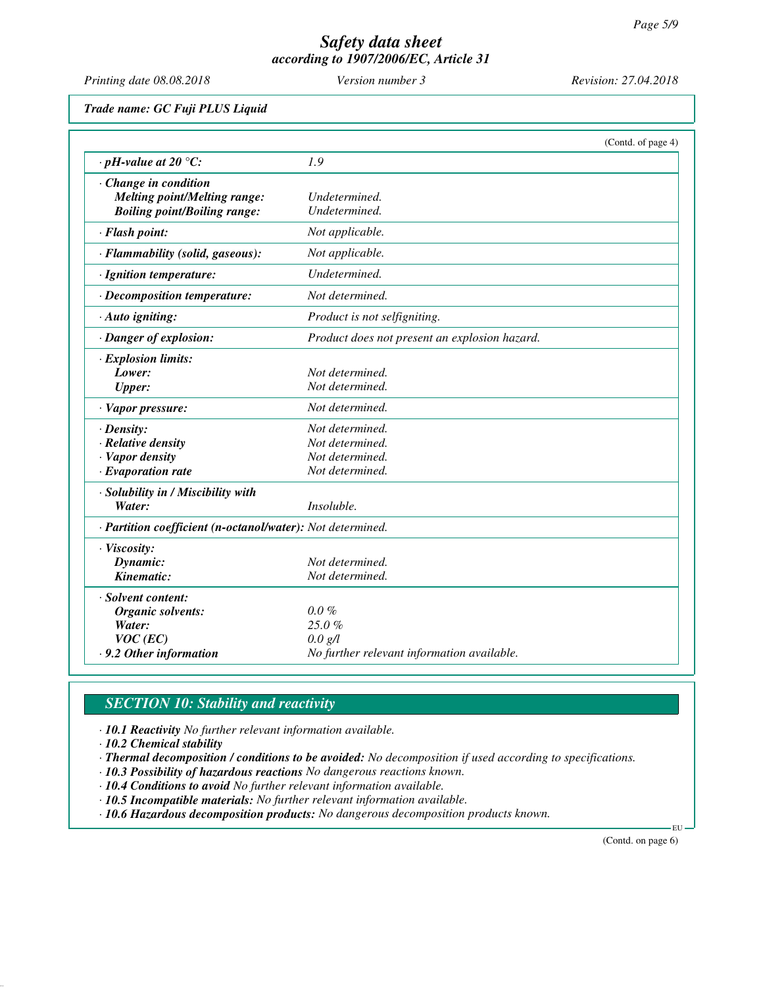*Printing date 08.08.2018 Version number 3 Revision: 27.04.2018*

*Trade name: GC Fuji PLUS Liquid*

|                                                            | (Contd. of page 4)                            |  |
|------------------------------------------------------------|-----------------------------------------------|--|
| $\cdot$ pH-value at 20 °C:                                 | 1.9                                           |  |
| $\cdot$ Change in condition                                |                                               |  |
| <b>Melting point/Melting range:</b>                        | Undetermined.                                 |  |
| <b>Boiling point/Boiling range:</b>                        | Undetermined.                                 |  |
| · Flash point:                                             | Not applicable.                               |  |
| · Flammability (solid, gaseous):                           | Not applicable.                               |  |
| · Ignition temperature:                                    | Undetermined.                                 |  |
| · Decomposition temperature:                               | Not determined.                               |  |
| · Auto igniting:                                           | Product is not selfigniting.                  |  |
| · Danger of explosion:                                     | Product does not present an explosion hazard. |  |
| $\cdot$ Explosion limits:                                  |                                               |  |
| Lower:                                                     | Not determined.                               |  |
| <b>Upper:</b>                                              | Not determined.                               |  |
| · Vapor pressure:                                          | Not determined.                               |  |
| $\cdot$ Density:                                           | Not determined.                               |  |
| $\cdot$ Relative density                                   | Not determined.                               |  |
| · Vapor density                                            | Not determined.                               |  |
| $\cdot$ Evaporation rate                                   | Not determined.                               |  |
| · Solubility in / Miscibility with                         |                                               |  |
| Water:                                                     | Insoluble.                                    |  |
| · Partition coefficient (n-octanol/water): Not determined. |                                               |  |
| · Viscosity:                                               |                                               |  |
| Dynamic:                                                   | Not determined.                               |  |
| Kinematic:                                                 | Not determined.                               |  |
| · Solvent content:                                         |                                               |  |
| Organic solvents:                                          | $0.0\%$                                       |  |
| Water:                                                     | 25.0%                                         |  |
| $VOC$ (EC)                                                 | 0.0 g/l                                       |  |
| .9.2 Other information                                     | No further relevant information available.    |  |

# *SECTION 10: Stability and reactivity*

*· 10.1 Reactivity No further relevant information available.*

*· 10.2 Chemical stability*

*· Thermal decomposition / conditions to be avoided: No decomposition if used according to specifications.*

- *· 10.3 Possibility of hazardous reactions No dangerous reactions known.*
- *· 10.4 Conditions to avoid No further relevant information available.*
- *· 10.5 Incompatible materials: No further relevant information available.*

*· 10.6 Hazardous decomposition products: No dangerous decomposition products known.*

(Contd. on page 6)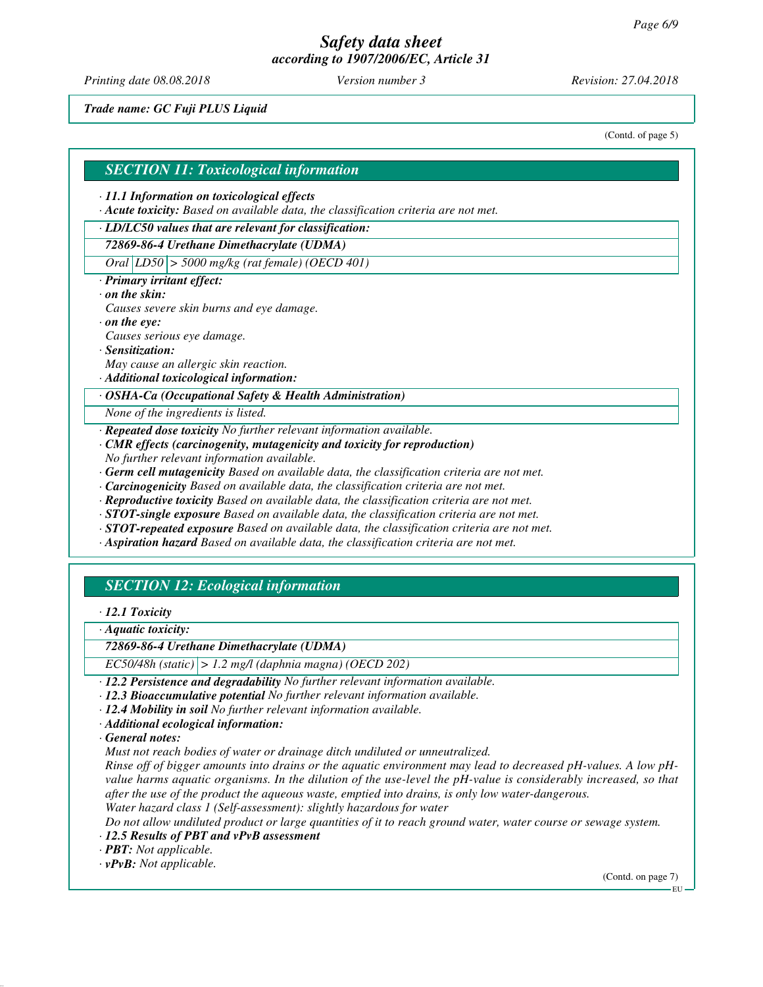*Printing date 08.08.2018 Version number 3 Revision: 27.04.2018*

*Trade name: GC Fuji PLUS Liquid*

(Contd. of page 5)

#### *SECTION 11: Toxicological information*

#### *· 11.1 Information on toxicological effects*

*· Acute toxicity: Based on available data, the classification criteria are not met.*

#### *· LD/LC50 values that are relevant for classification:*

## *72869-86-4 Urethane Dimethacrylate (UDMA)*

*Oral LD50 > 5000 mg/kg (rat female) (OECD 401)*

#### *· Primary irritant effect:*

#### *· on the skin:*

- *Causes severe skin burns and eye damage.*
- *· on the eye:*

*Causes serious eye damage.*

- *· Sensitization:*
- *May cause an allergic skin reaction.*
- *· Additional toxicological information:*

#### *· OSHA-Ca (Occupational Safety & Health Administration)*

*None of the ingredients is listed.*

- *· Repeated dose toxicity No further relevant information available.*
- *· CMR effects (carcinogenity, mutagenicity and toxicity for reproduction)*
- *No further relevant information available.*
- *· Germ cell mutagenicity Based on available data, the classification criteria are not met.*
- *· Carcinogenicity Based on available data, the classification criteria are not met.*
- *· Reproductive toxicity Based on available data, the classification criteria are not met.*
- *· STOT-single exposure Based on available data, the classification criteria are not met.*
- *· STOT-repeated exposure Based on available data, the classification criteria are not met.*
- *· Aspiration hazard Based on available data, the classification criteria are not met.*

# *SECTION 12: Ecological information*

#### *· 12.1 Toxicity*

*· Aquatic toxicity:*

#### *72869-86-4 Urethane Dimethacrylate (UDMA)*

*EC50/48h (static) > 1.2 mg/l (daphnia magna) (OECD 202)*

- *· 12.2 Persistence and degradability No further relevant information available.*
- *· 12.3 Bioaccumulative potential No further relevant information available.*
- *· 12.4 Mobility in soil No further relevant information available.*
- *· Additional ecological information:*

*· General notes:*

*Must not reach bodies of water or drainage ditch undiluted or unneutralized.*

*Rinse off of bigger amounts into drains or the aquatic environment may lead to decreased pH-values. A low pHvalue harms aquatic organisms. In the dilution of the use-level the pH-value is considerably increased, so that after the use of the product the aqueous waste, emptied into drains, is only low water-dangerous.*

*Water hazard class 1 (Self-assessment): slightly hazardous for water*

*Do not allow undiluted product or large quantities of it to reach ground water, water course or sewage system.*

## *· 12.5 Results of PBT and vPvB assessment*

*· PBT: Not applicable.*

*· vPvB: Not applicable.*

(Contd. on page 7)

EU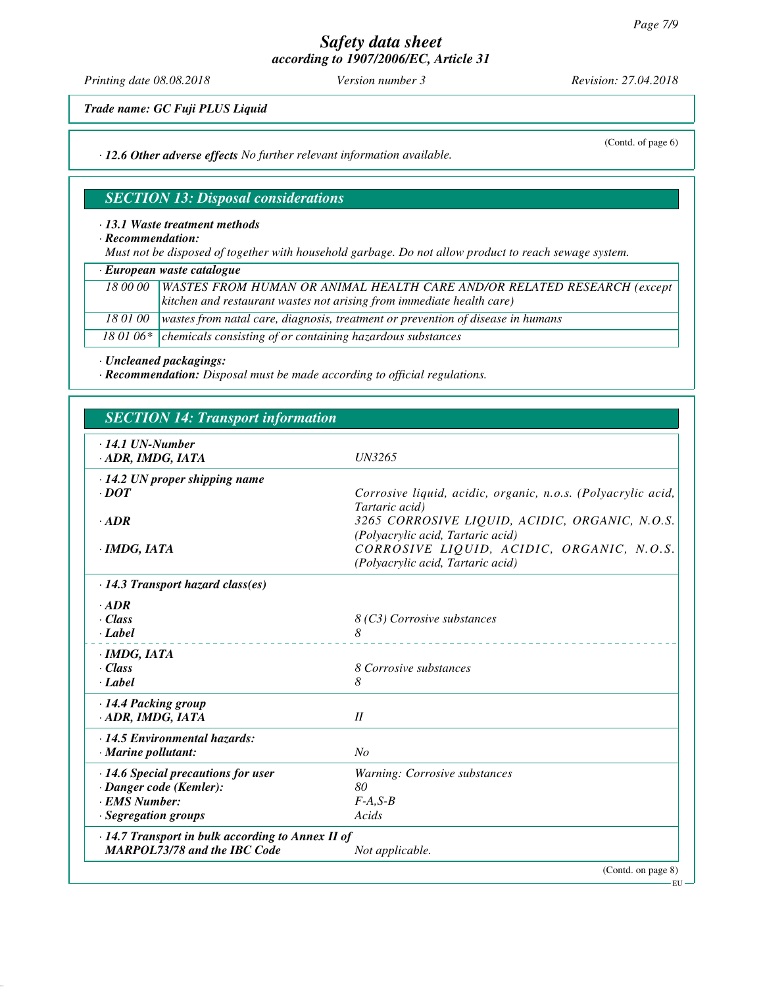*Printing date 08.08.2018 Version number 3 Revision: 27.04.2018*

(Contd. of page 6)

*Trade name: GC Fuji PLUS Liquid*

*· 12.6 Other adverse effects No further relevant information available.*

# *SECTION 13: Disposal considerations*

#### *· 13.1 Waste treatment methods*

*· Recommendation:*

*Must not be disposed of together with household garbage. Do not allow product to reach sewage system.*

*· European waste catalogue*

| 18 00 00   WASTES FROM HUMAN OR ANIMAL HEALTH CARE AND/OR RELATED RESEARCH (except         |
|--------------------------------------------------------------------------------------------|
| (kitchen and restaurant wastes not arising from immediate health care)                     |
| 18 01 00   wastes from natal care, diagnosis, treatment or prevention of disease in humans |
| 18 01 06 $*$ chemicals consisting of or containing hazardous substances                    |

*· Uncleaned packagings:*

*· Recommendation: Disposal must be made according to official regulations.*

| <b>SECTION 14: Transport information</b>                                                                      |                                                                                                                                  |  |
|---------------------------------------------------------------------------------------------------------------|----------------------------------------------------------------------------------------------------------------------------------|--|
| $\cdot$ 14.1 UN-Number<br>· ADR, IMDG, IATA                                                                   | <b>UN3265</b>                                                                                                                    |  |
| $\cdot$ 14.2 UN proper shipping name<br>$\cdot$ DOT                                                           | Corrosive liquid, acidic, organic, n.o.s. (Polyacrylic acid,<br>Tartaric acid)                                                   |  |
| $\cdot$ <i>ADR</i><br>$\cdot$ IMDG, IATA                                                                      | 3265 CORROSIVE LIQUID, ACIDIC, ORGANIC, N.O.S.<br>(Polyacrylic acid, Tartaric acid)<br>CORROSIVE LIQUID, ACIDIC, ORGANIC, N.O.S. |  |
| $\cdot$ 14.3 Transport hazard class(es)                                                                       | (Polyacrylic acid, Tartaric acid)                                                                                                |  |
| $\cdot$ ADR<br>$\cdot Class$<br>· Label                                                                       | 8 (C3) Corrosive substances<br>8                                                                                                 |  |
| $\cdot$ IMDG, IATA<br>$\cdot$ Class<br>· Label                                                                | 8 Corrosive substances<br>8                                                                                                      |  |
| · 14.4 Packing group<br>· ADR, IMDG, IATA                                                                     | II                                                                                                                               |  |
| $\cdot$ 14.5 Environmental hazards:<br>$\cdot$ Marine pollutant:                                              | No                                                                                                                               |  |
| $\cdot$ 14.6 Special precautions for user<br>· Danger code (Kemler):<br>· EMS Number:<br>· Segregation groups | Warning: Corrosive substances<br>80<br>$F-A, S-B$<br>Acids                                                                       |  |
| $\cdot$ 14.7 Transport in bulk according to Annex II of<br><b>MARPOL73/78 and the IBC Code</b>                | Not applicable.                                                                                                                  |  |
|                                                                                                               | (Contd. on page 8)                                                                                                               |  |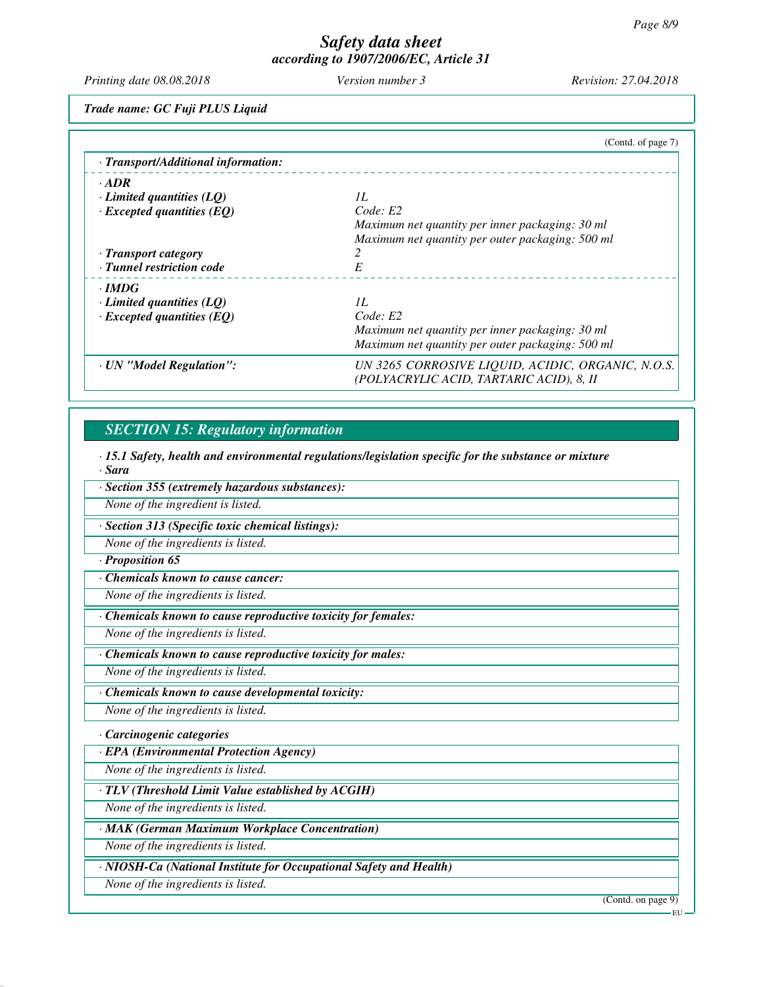*Printing date 08.08.2018 Version number 3 Revision: 27.04.2018*

*Trade name: GC Fuji PLUS Liquid*

|                                     | (Contd. of page 7)                                                                            |
|-------------------------------------|-----------------------------------------------------------------------------------------------|
| · Transport/Additional information: |                                                                                               |
| $\cdot$ ADR                         |                                                                                               |
| $\cdot$ Limited quantities (LQ)     | II.                                                                                           |
| $\cdot$ Excepted quantities (EQ)    | Code: E2                                                                                      |
|                                     | Maximum net quantity per inner packaging: 30 ml                                               |
|                                     | Maximum net quantity per outer packaging: 500 ml                                              |
| · Transport category                |                                                                                               |
| · Tunnel restriction code           | $\cal E$                                                                                      |
| · IMDG                              |                                                                                               |
| $\cdot$ Limited quantities (LQ)     | II.                                                                                           |
| $\cdot$ Excepted quantities (EQ)    | Code: E2                                                                                      |
|                                     | Maximum net quantity per inner packaging: 30 ml                                               |
|                                     | Maximum net quantity per outer packaging: 500 ml                                              |
| · UN "Model Regulation":            | UN 3265 CORROSIVE LIQUID, ACIDIC, ORGANIC, N.O.S.<br>(POLYACRYLIC ACID, TARTARIC ACID), 8, II |

# *SECTION 15: Regulatory information*

*· 15.1 Safety, health and environmental regulations/legislation specific for the substance or mixture · Sara*

*· Section 355 (extremely hazardous substances):*

*None of the ingredient is listed.*

*· Section 313 (Specific toxic chemical listings):*

*None of the ingredients is listed.*

## *· Proposition 65*

*· Chemicals known to cause cancer:*

*None of the ingredients is listed.*

*· Chemicals known to cause reproductive toxicity for females:*

*None of the ingredients is listed.*

*· Chemicals known to cause reproductive toxicity for males:*

*None of the ingredients is listed.*

*· Chemicals known to cause developmental toxicity:*

*None of the ingredients is listed.*

## *· Carcinogenic categories*

*· EPA (Environmental Protection Agency)*

*None of the ingredients is listed.*

*· TLV (Threshold Limit Value established by ACGIH)*

*None of the ingredients is listed.*

*· MAK (German Maximum Workplace Concentration)*

*None of the ingredients is listed.*

*· NIOSH-Ca (National Institute for Occupational Safety and Health)*

*None of the ingredients is listed.*

(Contd. on page 9)

EU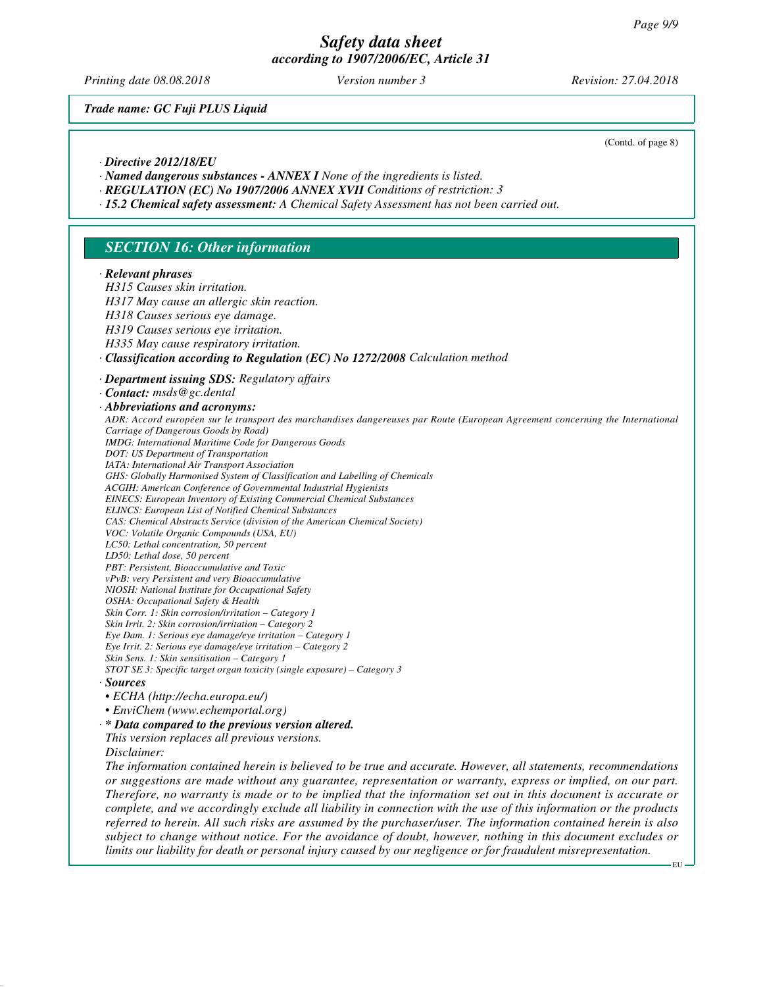*Printing date 08.08.2018 Version number 3 Revision: 27.04.2018*

*Trade name: GC Fuji PLUS Liquid*

(Contd. of page 8)

#### *· Directive 2012/18/EU*

- *· Named dangerous substances ANNEX I None of the ingredients is listed.*
- *· REGULATION (EC) No 1907/2006 ANNEX XVII Conditions of restriction: 3*
- *· 15.2 Chemical safety assessment: A Chemical Safety Assessment has not been carried out.*

#### *SECTION 16: Other information*

#### *· Relevant phrases*

*H315 Causes skin irritation. H317 May cause an allergic skin reaction. H318 Causes serious eye damage. H319 Causes serious eye irritation. H335 May cause respiratory irritation. · Classification according to Regulation (EC) No 1272/2008 Calculation method · Department issuing SDS: Regulatory affairs · Contact: msds@gc.dental · Abbreviations and acronyms: ADR: Accord européen sur le transport des marchandises dangereuses par Route (European Agreement concerning the International Carriage of Dangerous Goods by Road) IMDG: International Maritime Code for Dangerous Goods DOT: US Department of Transportation IATA: International Air Transport Association GHS: Globally Harmonised System of Classification and Labelling of Chemicals ACGIH: American Conference of Governmental Industrial Hygienists EINECS: European Inventory of Existing Commercial Chemical Substances ELINCS: European List of Notified Chemical Substances CAS: Chemical Abstracts Service (division of the American Chemical Society) VOC: Volatile Organic Compounds (USA, EU) LC50: Lethal concentration, 50 percent LD50: Lethal dose, 50 percent PBT: Persistent, Bioaccumulative and Toxic vPvB: very Persistent and very Bioaccumulative NIOSH: National Institute for Occupational Safety OSHA: Occupational Safety & Health Skin Corr. 1: Skin corrosion/irritation – Category 1 Skin Irrit. 2: Skin corrosion/irritation – Category 2 Eye Dam. 1: Serious eye damage/eye irritation – Category 1 Eye Irrit. 2: Serious eye damage/eye irritation – Category 2 Skin Sens. 1: Skin sensitisation – Category 1 STOT SE 3: Specific target organ toxicity (single exposure) – Category 3 · Sources • ECHA (http://echa.europa.eu/) • EnviChem (www.echemportal.org) · \* Data compared to the previous version altered. This version replaces all previous versions. Disclaimer:*

*The information contained herein is believed to be true and accurate. However, all statements, recommendations or suggestions are made without any guarantee, representation or warranty, express or implied, on our part. Therefore, no warranty is made or to be implied that the information set out in this document is accurate or complete, and we accordingly exclude all liability in connection with the use of this information or the products referred to herein. All such risks are assumed by the purchaser/user. The information contained herein is also subject to change without notice. For the avoidance of doubt, however, nothing in this document excludes or limits our liability for death or personal injury caused by our negligence or for fraudulent misrepresentation.*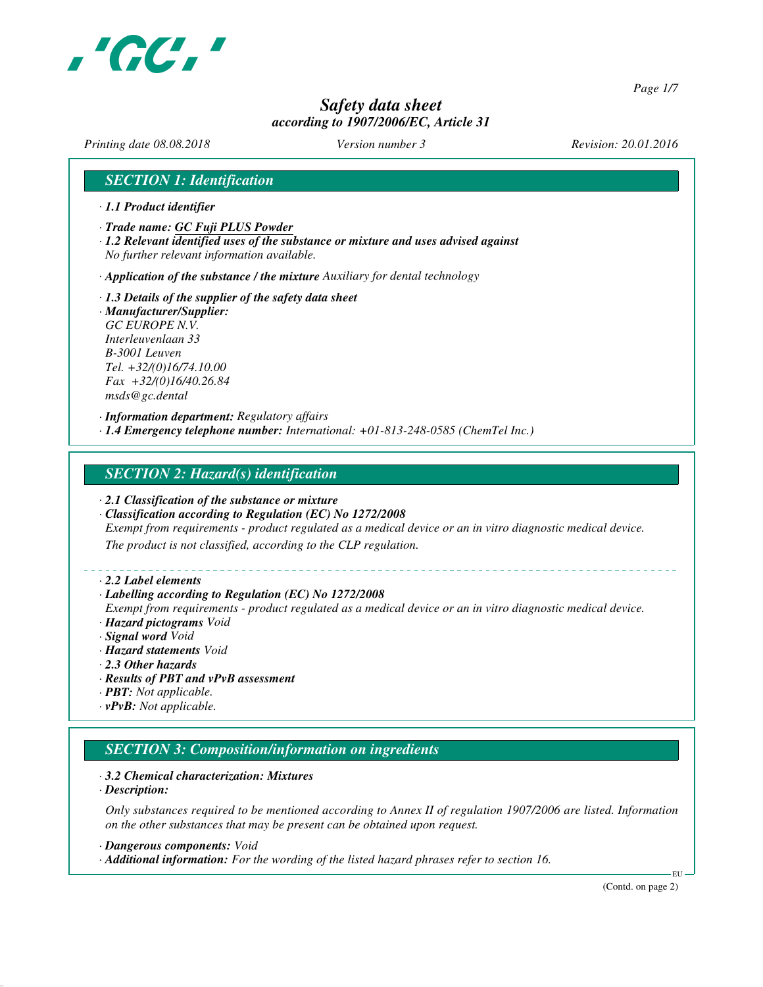

*Page 1/7*

# *Safety data sheet according to 1907/2006/EC, Article 31*

*Printing date 08.08.2018 Version number 3 Revision: 20.01.2016*

## *SECTION 1: Identification*

- *· 1.1 Product identifier*
- *· Trade name: GC Fuji PLUS Powder*
- *· 1.2 Relevant identified uses of the substance or mixture and uses advised against No further relevant information available.*

*· Application of the substance / the mixture Auxiliary for dental technology*

*· 1.3 Details of the supplier of the safety data sheet · Manufacturer/Supplier: GC EUROPE N.V. Interleuvenlaan 33 B-3001 Leuven Tel. +32/(0)16/74.10.00 Fax +32/(0)16/40.26.84 msds@gc.dental*

*· Information department: Regulatory affairs · 1.4 Emergency telephone number: International: +01-813-248-0585 (ChemTel Inc.)*

## *SECTION 2: Hazard(s) identification*

- *· 2.1 Classification of the substance or mixture*
- *· Classification according to Regulation (EC) No 1272/2008*

*Exempt from requirements - product regulated as a medical device or an in vitro diagnostic medical device.*

*The product is not classified, according to the CLP regulation.*

#### *· 2.2 Label elements*

#### *· Labelling according to Regulation (EC) No 1272/2008*

*Exempt from requirements - product regulated as a medical device or an in vitro diagnostic medical device. · Hazard pictograms Void*

- *· Signal word Void*
- *· Hazard statements Void*
- *· 2.3 Other hazards*
- *· Results of PBT and vPvB assessment*
- *· PBT: Not applicable.*
- *· vPvB: Not applicable.*

# *SECTION 3: Composition/information on ingredients*

#### *· 3.2 Chemical characterization: Mixtures*

*· Description:*

*Only substances required to be mentioned according to Annex II of regulation 1907/2006 are listed. Information on the other substances that may be present can be obtained upon request.*

*· Dangerous components: Void*

*· Additional information: For the wording of the listed hazard phrases refer to section 16.*

(Contd. on page 2)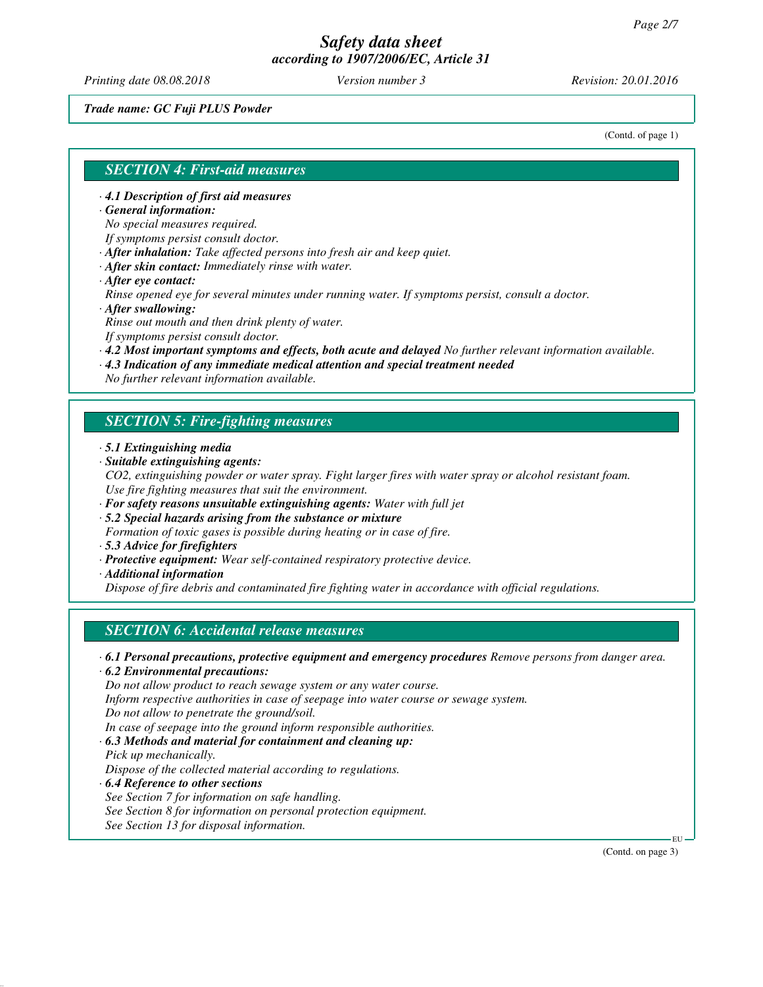*Printing date 08.08.2018 Version number 3 Revision: 20.01.2016*

*Trade name: GC Fuji PLUS Powder*

(Contd. of page 1)

#### *SECTION 4: First-aid measures*

*· 4.1 Description of first aid measures*

*· General information:*

*No special measures required.*

*If symptoms persist consult doctor.*

*· After inhalation: Take affected persons into fresh air and keep quiet.*

- *· After skin contact: Immediately rinse with water.*
- *· After eye contact:*

*Rinse opened eye for several minutes under running water. If symptoms persist, consult a doctor. · After swallowing:*

*Rinse out mouth and then drink plenty of water.*

*If symptoms persist consult doctor.*

- *· 4.2 Most important symptoms and effects, both acute and delayed No further relevant information available.*
- *· 4.3 Indication of any immediate medical attention and special treatment needed*

*No further relevant information available.*

## *SECTION 5: Fire-fighting measures*

- *· 5.1 Extinguishing media*
- *· Suitable extinguishing agents:*
- *CO2, extinguishing powder or water spray. Fight larger fires with water spray or alcohol resistant foam. Use fire fighting measures that suit the environment.*
- *· For safety reasons unsuitable extinguishing agents: Water with full jet*
- *· 5.2 Special hazards arising from the substance or mixture*
- *Formation of toxic gases is possible during heating or in case of fire.*
- *· 5.3 Advice for firefighters*
- *· Protective equipment: Wear self-contained respiratory protective device.*
- *· Additional information*

*Dispose of fire debris and contaminated fire fighting water in accordance with official regulations.*

## *SECTION 6: Accidental release measures*

*· 6.1 Personal precautions, protective equipment and emergency procedures Remove persons from danger area.*

*· 6.2 Environmental precautions:*

*Do not allow product to reach sewage system or any water course.*

*Inform respective authorities in case of seepage into water course or sewage system.*

*Do not allow to penetrate the ground/soil.*

*In case of seepage into the ground inform responsible authorities.*

*· 6.3 Methods and material for containment and cleaning up:*

- *Pick up mechanically. Dispose of the collected material according to regulations.*
- *· 6.4 Reference to other sections See Section 7 for information on safe handling. See Section 8 for information on personal protection equipment. See Section 13 for disposal information.*

(Contd. on page 3)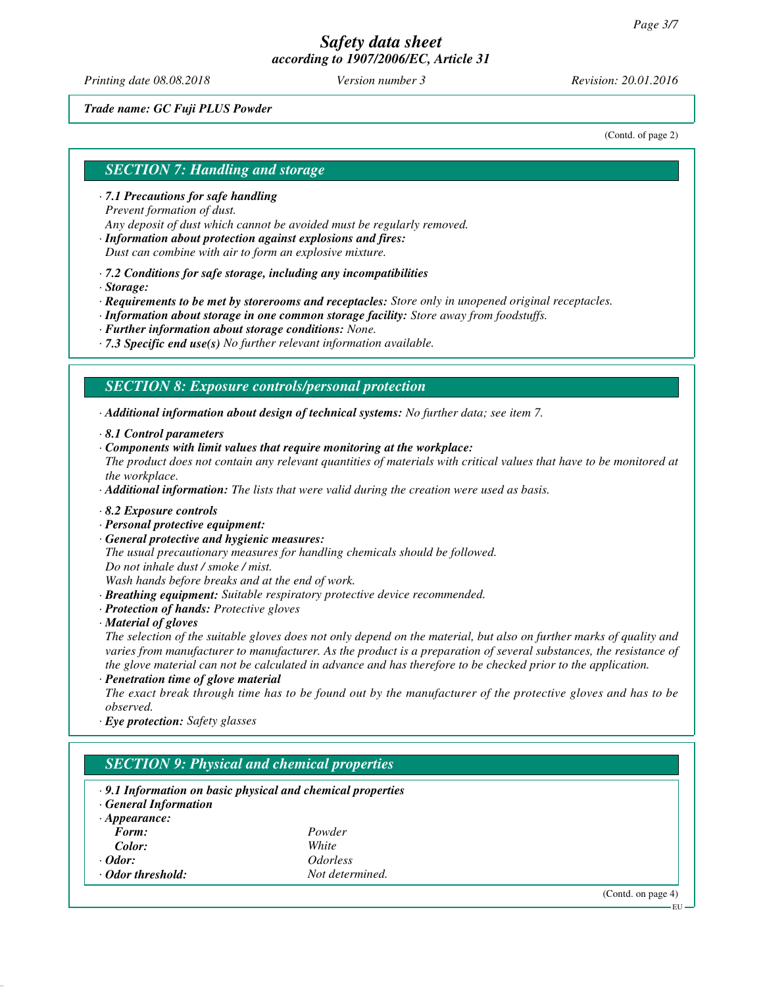*Printing date 08.08.2018 Version number 3 Revision: 20.01.2016*

#### *Trade name: GC Fuji PLUS Powder*

(Contd. of page 2)

# *SECTION 7: Handling and storage*

- *· 7.1 Precautions for safe handling Prevent formation of dust. Any deposit of dust which cannot be avoided must be regularly removed.*
- *· Information about protection against explosions and fires: Dust can combine with air to form an explosive mixture.*
- *· 7.2 Conditions for safe storage, including any incompatibilities*
- *· Storage:*

*· Requirements to be met by storerooms and receptacles: Store only in unopened original receptacles.*

- *· Information about storage in one common storage facility: Store away from foodstuffs.*
- *· Further information about storage conditions: None.*
- *· 7.3 Specific end use(s) No further relevant information available.*

## *SECTION 8: Exposure controls/personal protection*

*· Additional information about design of technical systems: No further data; see item 7.*

- *· 8.1 Control parameters*
- *· Components with limit values that require monitoring at the workplace:*
- *The product does not contain any relevant quantities of materials with critical values that have to be monitored at the workplace.*

*· Additional information: The lists that were valid during the creation were used as basis.*

- *· 8.2 Exposure controls*
- *· Personal protective equipment:*
- *· General protective and hygienic measures:*

*The usual precautionary measures for handling chemicals should be followed. Do not inhale dust / smoke / mist.*

*Wash hands before breaks and at the end of work.*

- *· Breathing equipment: Suitable respiratory protective device recommended.*
- *· Protection of hands: Protective gloves*
- *· Material of gloves*

*The selection of the suitable gloves does not only depend on the material, but also on further marks of quality and varies from manufacturer to manufacturer. As the product is a preparation of several substances, the resistance of the glove material can not be calculated in advance and has therefore to be checked prior to the application.*

*· Penetration time of glove material*

*The exact break through time has to be found out by the manufacturer of the protective gloves and has to be observed.*

*· Eye protection: Safety glasses*

# *SECTION 9: Physical and chemical properties*

- *· 9.1 Information on basic physical and chemical properties*
- *· General Information*

| $\cdot$ Appearance: |                               |
|---------------------|-------------------------------|
| Form:               | Powder                        |
| Color:              | White                         |
| $\cdot$ Odor:       | <i><u><b>Odorless</b></u></i> |
| · Odor threshold:   | Not determined.               |

(Contd. on page 4)

EU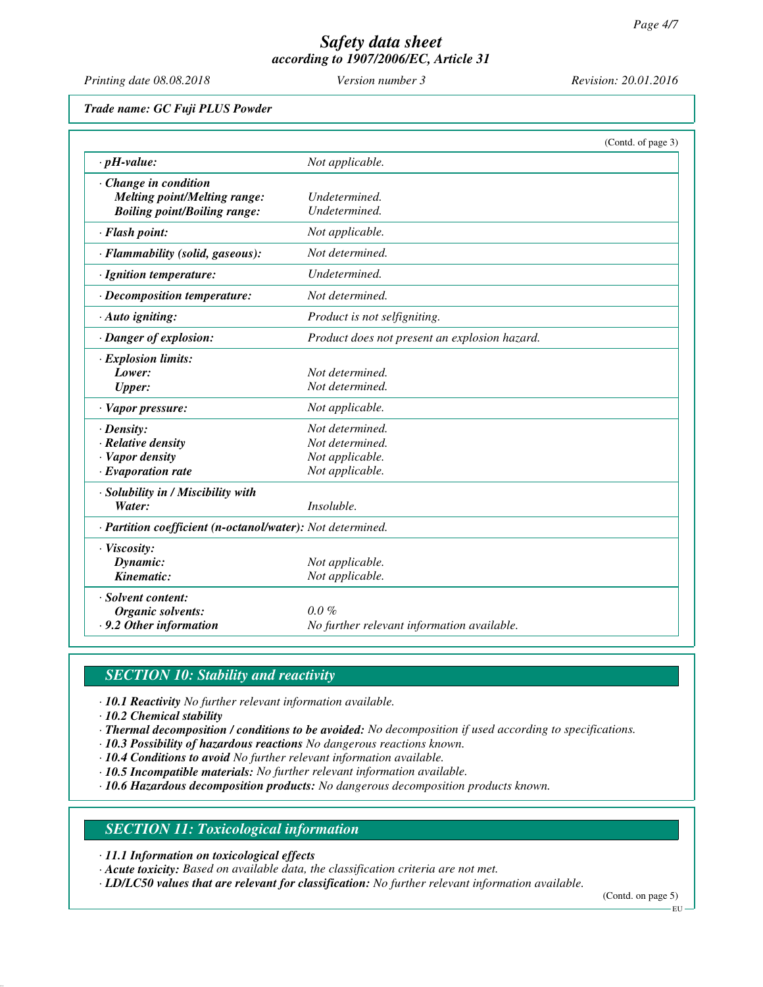*Printing date 08.08.2018 Version number 3 Revision: 20.01.2016*

*Trade name: GC Fuji PLUS Powder*

|                                                            |                                               | (Contd. of page 3) |
|------------------------------------------------------------|-----------------------------------------------|--------------------|
| $\cdot$ pH-value:                                          | Not applicable.                               |                    |
| · Change in condition                                      |                                               |                    |
| <b>Melting point/Melting range:</b>                        | Undetermined.                                 |                    |
| <b>Boiling point/Boiling range:</b>                        | Undetermined.                                 |                    |
| · Flash point:                                             | Not applicable.                               |                    |
| · Flammability (solid, gaseous):                           | Not determined.                               |                    |
| · Ignition temperature:                                    | Undetermined.                                 |                    |
| $\cdot$ Decomposition temperature:                         | Not determined.                               |                    |
| $\cdot$ Auto igniting:                                     | Product is not selfigniting.                  |                    |
| · Danger of explosion:                                     | Product does not present an explosion hazard. |                    |
| · Explosion limits:                                        |                                               |                    |
| Lower:                                                     | Not determined.                               |                    |
| <b>Upper:</b>                                              | Not determined.                               |                    |
| $\cdot$ Vapor pressure:                                    | Not applicable.                               |                    |
| $\cdot$ Density:                                           | Not determined.                               |                    |
| · Relative density                                         | Not determined.                               |                    |
| · Vapor density                                            | Not applicable.                               |                    |
| $\cdot$ Evaporation rate                                   | Not applicable.                               |                    |
| · Solubility in / Miscibility with                         |                                               |                    |
| Water:                                                     | Insoluble.                                    |                    |
| · Partition coefficient (n-octanol/water): Not determined. |                                               |                    |
| · Viscosity:                                               |                                               |                    |
| Dynamic:                                                   | Not applicable.                               |                    |
| Kinematic:                                                 | Not applicable.                               |                    |
| · Solvent content:                                         |                                               |                    |
| Organic solvents:                                          | $0.0\%$                                       |                    |
| .9.2 Other information                                     | No further relevant information available.    |                    |

# *SECTION 10: Stability and reactivity*

*· 10.1 Reactivity No further relevant information available.*

*· 10.2 Chemical stability*

- *· Thermal decomposition / conditions to be avoided: No decomposition if used according to specifications.*
- *· 10.3 Possibility of hazardous reactions No dangerous reactions known.*
- *· 10.4 Conditions to avoid No further relevant information available.*
- *· 10.5 Incompatible materials: No further relevant information available.*
- *· 10.6 Hazardous decomposition products: No dangerous decomposition products known.*

## *SECTION 11: Toxicological information*

*· 11.1 Information on toxicological effects*

*· Acute toxicity: Based on available data, the classification criteria are not met.*

*· LD/LC50 values that are relevant for classification: No further relevant information available.*

(Contd. on page 5)

EU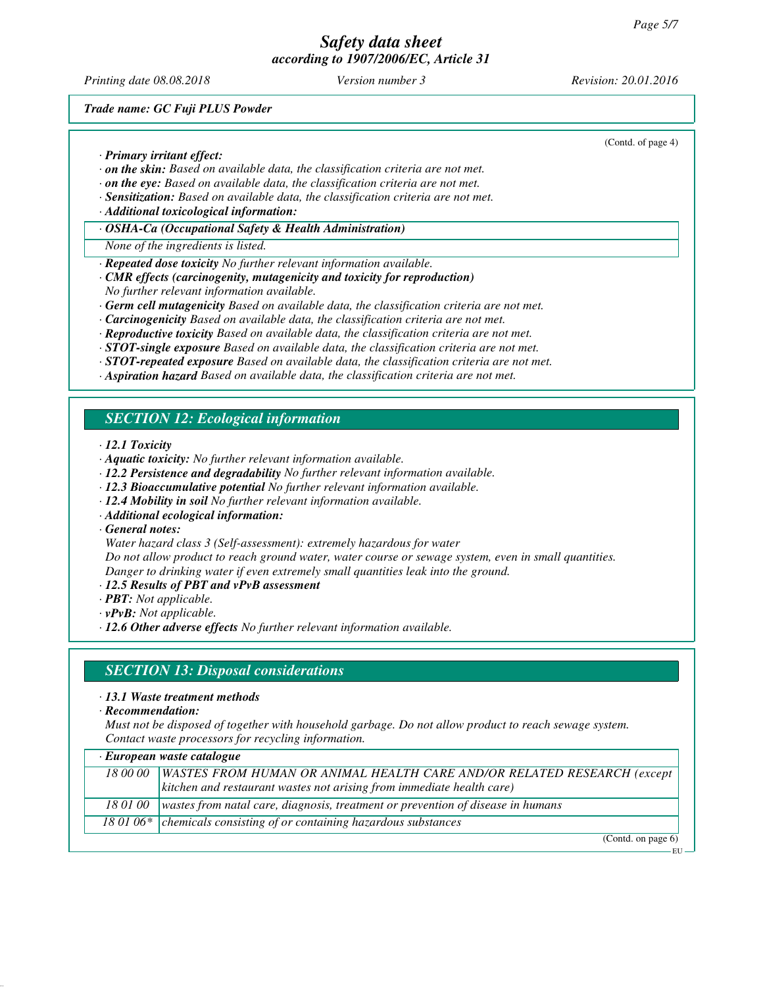*Printing date 08.08.2018 Version number 3 Revision: 20.01.2016*

(Contd. of page 4)

*Trade name: GC Fuji PLUS Powder*

*· Primary irritant effect:*

- *· on the skin: Based on available data, the classification criteria are not met.*
- *· on the eye: Based on available data, the classification criteria are not met.*
- *· Sensitization: Based on available data, the classification criteria are not met.*
- *· Additional toxicological information:*
- *· OSHA-Ca (Occupational Safety & Health Administration)*
- *None of the ingredients is listed.*
- *· Repeated dose toxicity No further relevant information available.*
- *· CMR effects (carcinogenity, mutagenicity and toxicity for reproduction)*
- *No further relevant information available.*
- *· Germ cell mutagenicity Based on available data, the classification criteria are not met.*
- *· Carcinogenicity Based on available data, the classification criteria are not met.*
- *· Reproductive toxicity Based on available data, the classification criteria are not met.*
- *· STOT-single exposure Based on available data, the classification criteria are not met.*
- *· STOT-repeated exposure Based on available data, the classification criteria are not met.*
- *· Aspiration hazard Based on available data, the classification criteria are not met.*

# *SECTION 12: Ecological information*

*· 12.1 Toxicity*

- *· Aquatic toxicity: No further relevant information available.*
- *· 12.2 Persistence and degradability No further relevant information available.*
- *· 12.3 Bioaccumulative potential No further relevant information available.*
- *· 12.4 Mobility in soil No further relevant information available.*
- *· Additional ecological information:*

*· General notes:*

*Water hazard class 3 (Self-assessment): extremely hazardous for water*

*Do not allow product to reach ground water, water course or sewage system, even in small quantities. Danger to drinking water if even extremely small quantities leak into the ground.*

- *· 12.5 Results of PBT and vPvB assessment*
- *· PBT: Not applicable.*
- *· vPvB: Not applicable.*
- *· 12.6 Other adverse effects No further relevant information available.*

# *SECTION 13: Disposal considerations*

- *· 13.1 Waste treatment methods*
- *· Recommendation:*

*Must not be disposed of together with household garbage. Do not allow product to reach sewage system. Contact waste processors for recycling information.*

| $\cdot$ European waste catalogue |                                                                                 |
|----------------------------------|---------------------------------------------------------------------------------|
| 18 00 00                         | WASTES FROM HUMAN OR ANIMAL HEALTH CARE AND/OR RELATED RESEARCH (except         |
|                                  | kitchen and restaurant wastes not arising from immediate health care)           |
| 18 01 00                         | wastes from natal care, diagnosis, treatment or prevention of disease in humans |
|                                  | 18 01 06* $\vert$ chemicals consisting of or containing hazardous substances    |

(Contd. on page 6) EU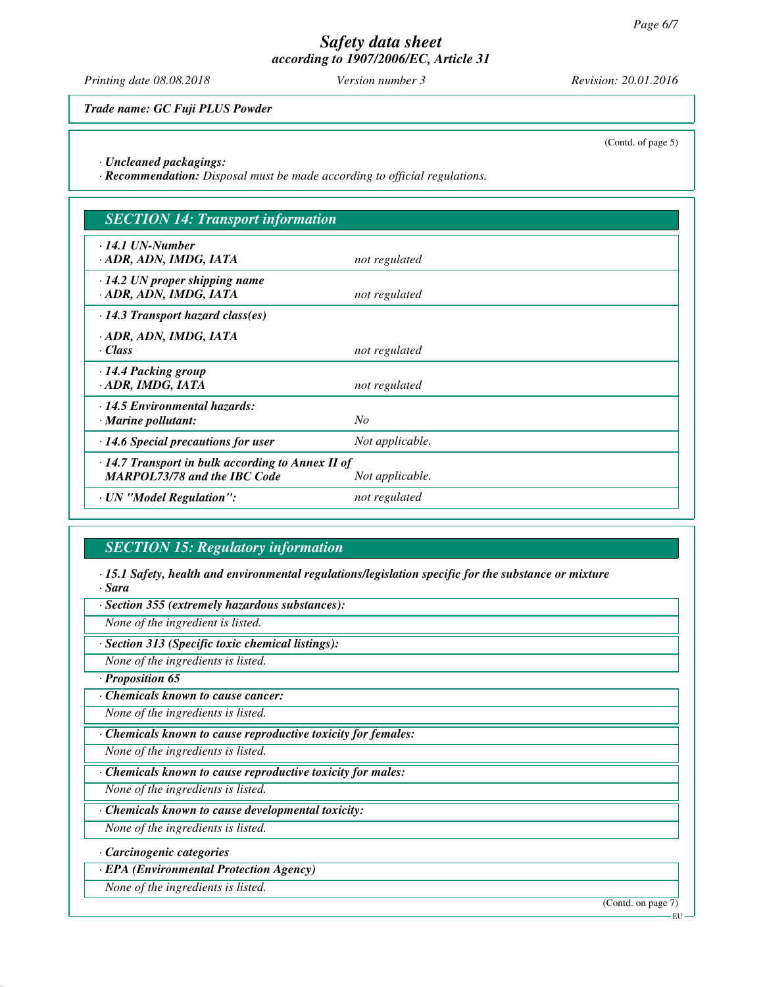*Printing date 08.08.2018 Version number 3 Revision: 20.01.2016*

*Trade name: GC Fuji PLUS Powder*

(Contd. of page 5)

*· Uncleaned packagings:*

*· Recommendation: Disposal must be made according to official regulations.*

| <b>SECTION 14: Transport information</b>                                                       |                 |  |
|------------------------------------------------------------------------------------------------|-----------------|--|
| $\cdot$ 14.1 UN-Number<br>ADR, ADN, IMDG, IATA                                                 | not regulated   |  |
| $\cdot$ 14.2 UN proper shipping name<br>ADR, ADN, IMDG, IATA                                   | not regulated   |  |
| $\cdot$ 14.3 Transport hazard class(es)                                                        |                 |  |
| · ADR, ADN, IMDG, IATA<br>$\cdot$ Class                                                        | not regulated   |  |
| $\cdot$ 14.4 Packing group<br>· ADR, IMDG, IATA                                                | not regulated   |  |
| · 14.5 Environmental hazards:<br>$\cdot$ Marine pollutant:                                     | $N_{O}$         |  |
| $\cdot$ 14.6 Special precautions for user                                                      | Not applicable. |  |
| $\cdot$ 14.7 Transport in bulk according to Annex II of<br><b>MARPOL73/78 and the IBC Code</b> | Not applicable. |  |
| · UN "Model Regulation":                                                                       | not regulated   |  |

# *SECTION 15: Regulatory information*

*· 15.1 Safety, health and environmental regulations/legislation specific for the substance or mixture · Sara*

*· Section 355 (extremely hazardous substances):*

*None of the ingredient is listed.*

*· Section 313 (Specific toxic chemical listings):*

*None of the ingredients is listed.*

*· Proposition 65*

*· Chemicals known to cause cancer:*

*None of the ingredients is listed.*

*· Chemicals known to cause reproductive toxicity for females:*

*None of the ingredients is listed.*

*· Chemicals known to cause reproductive toxicity for males:*

*None of the ingredients is listed.*

*· Chemicals known to cause developmental toxicity:*

*None of the ingredients is listed.*

*· Carcinogenic categories*

*· EPA (Environmental Protection Agency)*

*None of the ingredients is listed.*

(Contd. on page 7)

EU